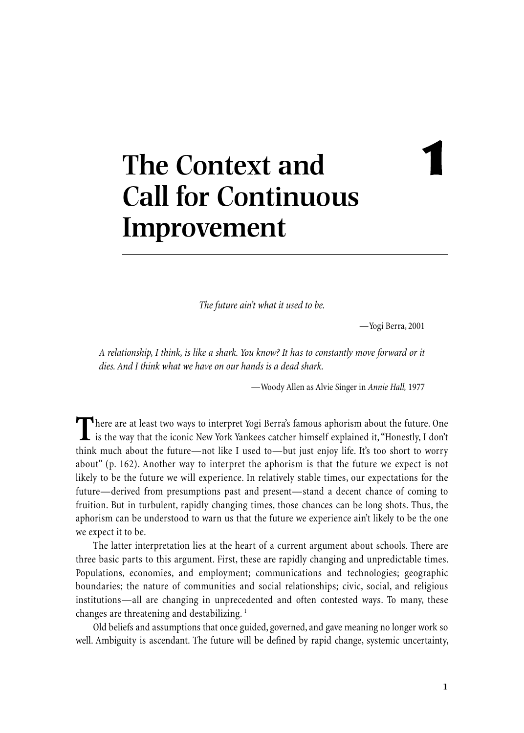# **1**

# **The Context and Call for Continuous Improvement**

*The future ain't what it used to be.*

—Yogi Berra, 2001

*A relationship, I think, is like a shark. You know? It has to constantly move forward or it dies. And I think what we have on our hands is a dead shark.*

—Woody Allen as Alvie Singer in *Annie Hall,* 1977

There are at least two ways to interpret Yogi Berra's famous aphorism about the future. One<br>is the way that the iconic New York Yankees catcher himself explained it, "Honestly, I don't think much about the future—not like I used to—but just enjoy life. It's too short to worry about" (p. 162). Another way to interpret the aphorism is that the future we expect is not likely to be the future we will experience. In relatively stable times, our expectations for the future—derived from presumptions past and present—stand a decent chance of coming to fruition. But in turbulent, rapidly changing times, those chances can be long shots. Thus, the aphorism can be understood to warn us that the future we experience ain't likely to be the one we expect it to be.

The latter interpretation lies at the heart of a current argument about schools. There are three basic parts to this argument. First, these are rapidly changing and unpredictable times. Populations, economies, and employment; communications and technologies; geographic boundaries; the nature of communities and social relationships; civic, social, and religious institutions—all are changing in unprecedented and often contested ways. To many, these changes are threatening and destabilizing. <sup>1</sup>

Old beliefs and assumptions that once guided, governed, and gave meaning no longer work so well. Ambiguity is ascendant. The future will be defined by rapid change, systemic uncertainty,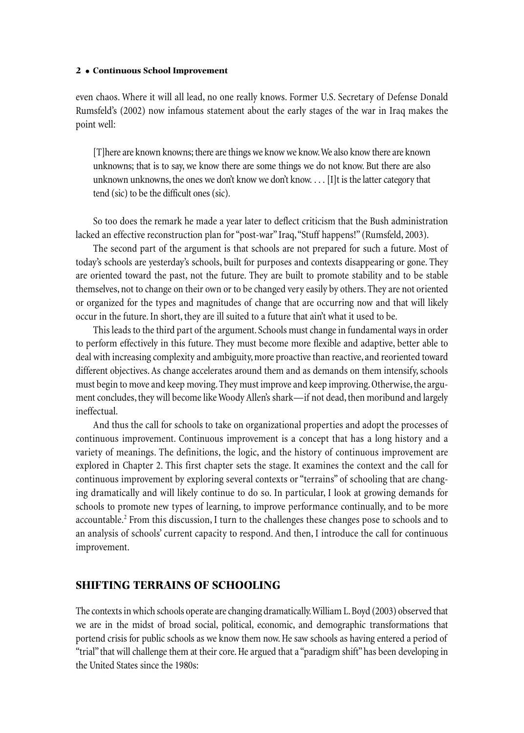even chaos. Where it will all lead, no one really knows. Former U.S. Secretary of Defense Donald Rumsfeld's (2002) now infamous statement about the early stages of the war in Iraq makes the point well:

[T]here are known knowns; there arethings we know we know.We also know there are known unknowns; that is to say, we know there are some things we do not know. But there are also unknown unknowns, the ones we don't know we don't know.... [I]t is the latter category that tend (sic) to be the difficult ones (sic).

So too does the remark he made a year later to deflect criticism that the Bush administration lacked an effective reconstruction plan for "post-war" Iraq, "Stuff happens!" (Rumsfeld, 2003).

The second part of the argument is that schools are not prepared for such a future. Most of today's schools are yesterday's schools, built for purposes and contexts disappearing or gone. They are oriented toward the past, not the future. They are built to promote stability and to be stable themselves, not to change on their own or to bechanged very easily by others.They are not oriented or organized for the types and magnitudes of change that are occurring now and that will likely occur in the future.In short, they are ill suited to a future that ain't what it used to be.

This leads to the third part of the argument. Schools must change in fundamental ways in order to perform effectively in this future. They must become more flexible and adaptive, better able to deal with increasing complexity and ambiguity, more proactive than reactive, and reoriented toward different objectives. As change accelerates around them and as demands on them intensify, schools must begin to move and keep moving. They must improve and keep improving. Otherwise, the argument concludes, they will become like Woody Allen's shark—if not dead, then moribund and largely ineffectual.

And thus the call for schools to take on organizational properties and adopt the processes of continuous improvement. Continuous improvement is a concept that has a long history and a variety of meanings. The definitions, the logic, and the history of continuous improvement are explored in Chapter 2. This first chapter sets the stage. It examines the context and the call for continuous improvement by exploring several contexts or "terrains" of schooling that are changing dramatically and will likely continue to do so. In particular, I look at growing demands for schools to promote new types of learning, to improve performance continually, and to be more accountable. <sup>2</sup> From this discussion, I turn to the challenges these changes pose to schools and to an analysis of schools'current capacity to respond. And then, I introduce the call for continuous improvement.

# **SHIFTING TERRAINS OF SCHOOLING**

The contexts in which schools operate are changing dramatically. William L. Boyd (2003) observed that we are in the midst of broad social, political, economic, and demographic transformations that portend crisis for public schools as we know them now.Hesaw schools as having entered a period of "trial" that will challenge them at their core. He argued that a "paradigm shift" has been developing in the United States since the 1980s: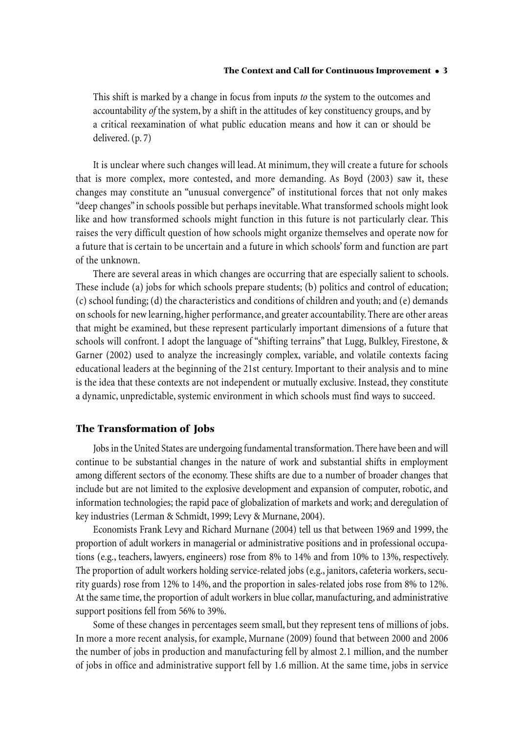This shift is marked by a change in focus from inputs *to* the system to the outcomes and accountability *of* the system, by a shift in the attitudes of key constituency groups, and by a critical reexamination of what public education means and how it can or should be delivered.(p. 7)

It is unclear where such changes will lead.At minimum, they will create a future for schools that is more complex, more contested, and more demanding. As Boyd (2003) saw it, these changes may constitute an "unusual convergence" of institutional forces that not only makes "deep changes"in schools possible but perhaps inevitable.What transformed schools might look like and how transformed schools might function in this future is not particularly clear. This raises the very difficult question of how schools might organize themselves and operate now for a future that is certain to be uncertain and a future in which schools' form and function are part of the unknown.

There are several areas in which changes are occurring that are especially salient to schools. These include (a) jobs for which schools prepare students; (b) politics and control of education; (c) school funding; (d) the characteristics and conditions of children and youth; and (e) demands on schools for new learning, higher performance, and greater accountability.There are other areas that might be examined, but these represent particularly important dimensions of a future that schools will confront. I adopt the language of "shifting terrains" that Lugg, Bulkley, Firestone, & Garner (2002) used to analyze the increasingly complex, variable, and volatile contexts facing educational leaders at the beginning of the 21st century. Important to their analysis and to mine is the idea that these contexts are not independent or mutually exclusive. Instead, they constitute a dynamic, unpredictable, systemic environment in which schools must find ways to succeed.

# **The Transformation of Jobs**

Jobs in the United States are undergoing fundamental transformation. There have been and will continue to be substantial changes in the nature of work and substantial shifts in employment among different sectors of the economy. These shifts are due to a number of broader changes that include but are not limited to the explosive development and expansion of computer, robotic, and information technologies; the rapid pace of globalization of markets and work; and deregulation of key industries (Lerman & Schmidt, 1999; Levy & Murnane, 2004).

Economists Frank Levy and Richard Murnane (2004) tell us that between 1969 and 1999, the proportion of adult workers in managerial or administrative positions and in professional occupations (e.g., teachers, lawyers, engineers) rose from 8% to 14% and from 10% to 13%, respectively. The proportion of adult workers holding service-related jobs (e.g., janitors, cafeteria workers, security guards) rose from 12% to 14%, and the proportion in sales-related jobs rose from 8% to 12%. At the same time, the proportion of adult workers in blue collar, manufacturing, and administrative support positions fell from 56% to 39%.

Some of these changes in percentages seem small, but they represent tens of millions of jobs. In more a more recent analysis, for example, Murnane (2009) found that between 2000 and 2006 the number of jobs in production and manufacturing fell by almost 2.1 million, and the number of jobs in office and administrative support fell by 1.6 million. At the same time, jobs in service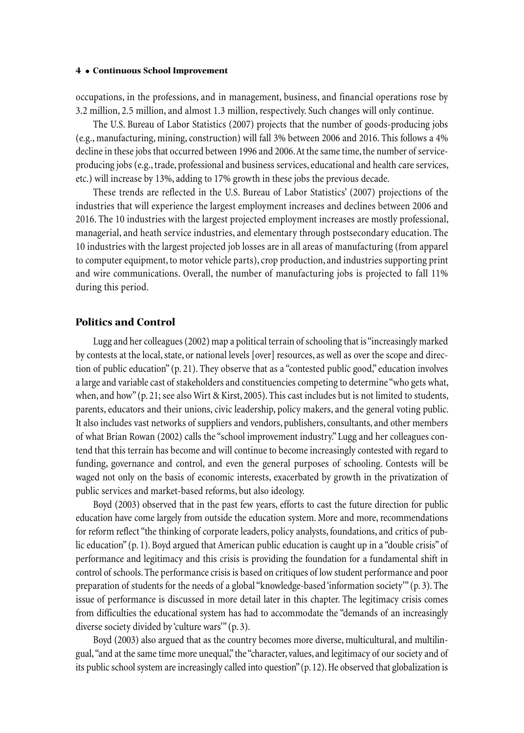occupations, in the professions, and in management, business, and financial operations rose by 3.2 million, 2.5 million, and almost 1.3 million,respectively. Such changes will only continue.

The U.S. Bureau of Labor Statistics (2007) projects that the number of goods-producing jobs (e.g., manufacturing, mining,construction) will fall 3% between 2006 and 2016. This follows a 4% decline in these jobs that occurred between 1996 and 2006. At the same time, the number of serviceproducing jobs (e.g., trade, professional and business services, educational and health care services, etc.) will increase by 13%, adding to 17% growth in these jobs the previous decade.

These trends are reflected in the U.S. Bureau of Labor Statistics' (2007) projections of the industries that will experience the largest employment increases and declines between 2006 and 2016. The 10 industries with the largest projected employment increases are mostly professional, managerial, and heath service industries, and elementary through postsecondary education. The 10 industries with the largest projected job losses are in all areas of manufacturing (from apparel to computer equipment, to motor vehicle parts), crop production, and industries supporting print and wire communications. Overall, the number of manufacturing jobs is projected to fall 11% during this period.

# **Politics and Control**

Lugg and hercolleagues(2002) map a political terrain of schooling that is"increasingly marked by contests at the local, state, or national levels [over] resources, as well as over the scope and direction of public education"(p. 21). They observe that as a "contested public good,"education involves a large and variable cast of stakeholders and constituencies competing to determine "who gets what, when, and how" (p. 21; see also Wirt & Kirst, 2005). This cast includes but is not limited to students, parents, educators and their unions, civic leadership, policy makers, and the general voting public. It also includes vast networks of suppliers and vendors, publishers,consultants, and other members of what Brian Rowan (2002) calls the"school improvement industry." Lugg and her colleagues contend that this terrain has become and will continue to become increasingly contested with regard to funding, governance and control, and even the general purposes of schooling. Contests will be waged not only on the basis of economic interests, exacerbated by growth in the privatization of public services and market-based reforms, but also ideology.

Boyd (2003) observed that in the past few years, efforts to cast the future direction for public education have come largely from outside the education system. More and more, recommendations for reform reflect"the thinking of corporate leaders, policy analysts, foundations, and critics of public education"(p. 1). Boyd argued that American public education is caught up in a "double crisis" of performance and legitimacy and this crisis is providing the foundation for a fundamental shift in control of schools.The performancecrisisis based on critiques of low student performance and poor preparation of students for the needs of a global"knowledge-based'information society'"(p. 3). The issue of performance is discussed in more detail later in this chapter. The legitimacy crisis comes from difficulties the educational system has had to accommodate the"demands of an increasingly diverse society divided by 'culture wars'"(p. 3).

Boyd (2003) also argued that as the country becomes more diverse, multicultural, and multilingual, "and at the same time more unequal," the "character, values, and legitimacy of our society and of its public school system are increasingly called into question" (p. 12). He observed that globalization is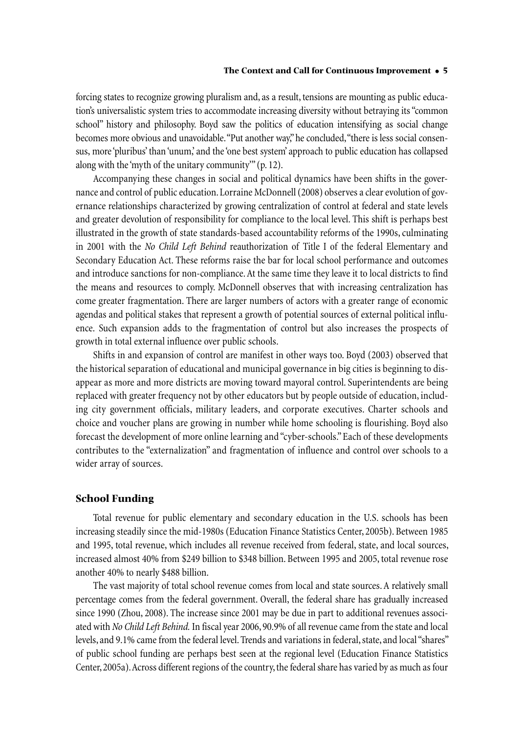forcing states to recognize growing pluralism and, as a result, tensions are mounting as public education's universalistic system tries to accommodate increasing diversity without betraying its"common school" history and philosophy. Boyd saw the politics of education intensifying as social change becomes more obvious and unavoidable. "Put another way," he concluded, "there is less social consensus, more'pluribus' than'unum,' and the'one best system' approach to public education has collapsed along with the'myth of the unitary community'"(p. 12).

Accompanying these changes in social and political dynamics have been shifts in the governance and control of public education. Lorraine McDonnell (2008) observes a clear evolution of governance relationships characterized by growing centralization of control at federal and state levels and greater devolution of responsibility for compliance to the local level. This shift is perhaps best illustrated in the growth of state standards-based accountability reforms of the 1990s, culminating in 2001 with the *No Child Left Behind* reauthorization of Title I of the federal Elementary and Secondary Education Act. These reforms raise the bar for local school performance and outcomes and introduce sanctions for non-compliance.At the same time they leave it to local districts to find the means and resources to comply. McDonnell observes that with increasing centralization has come greater fragmentation. There are larger numbers of actors with a greater range of economic agendas and political stakes that represent a growth of potential sources of external political influence. Such expansion adds to the fragmentation of control but also increases the prospects of growth in total external influence over public schools.

Shifts in and expansion of control are manifest in other ways too. Boyd (2003) observed that the historical separation of educational and municipal governancein big cities is beginning to disappear as more and more districts are moving toward mayoral control. Superintendents are being replaced with greater frequency not by other educators but by people outside of education, including city government officials, military leaders, and corporate executives. Charter schools and choice and voucher plans are growing in number while home schooling is flourishing. Boyd also forecast the development of more online learning and "cyber-schools."Each of these developments contributes to the"externalization" and fragmentation of influence and control over schools to a wider array of sources.

# **School Funding**

Total revenue for public elementary and secondary education in the U.S. schools has been increasing steadily since the mid-1980s (Education Finance Statistics Center, 2005b). Between 1985 and 1995, total revenue, which includes all revenue received from federal, state, and local sources, increased almost 40% from \$249 billion to \$348 billion. Between 1995 and 2005, total revenue rose another 40% to nearly \$488 billion.

The vast majority of total school revenue comes from local and state sources.A relatively small percentage comes from the federal government. Overall, the federal share has gradually increased since 1990 (Zhou, 2008). The increase since 2001 may be due in part to additional revenues associated with *No Child Left Behind.* In fiscal year 2006, 90.9% of all revenuecamefrom thestate and local levels, and 9.1% came from the federal level. Trends and variations in federal, state, and local "shares" of public school funding are perhaps best seen at the regional level (Education Finance Statistics Center, 2005a). Across different regions of the country, the federal share has varied by as much as four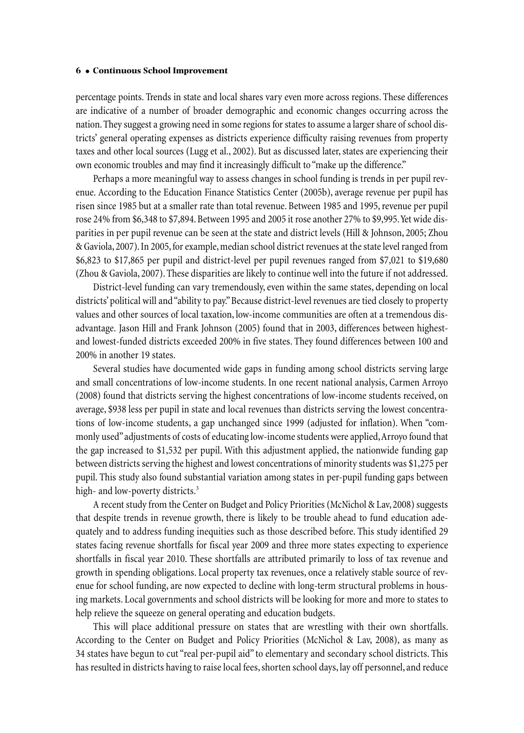percentage points. Trends in state and local shares vary even more across regions. These differences are indicative of a number of broader demographic and economic changes occurring across the nation. They suggest a growing need in some regions for states to assume a larger share of school districts' general operating expenses as districts experience difficulty raising revenues from property taxes and other local sources (Lugg et al., 2002). But as discussed later, states are experiencing their own economic troubles and may find it increasingly difficult to "make up the difference."

Perhaps a more meaningful way to assess changes in school funding is trends in per pupil revenue. According to the Education Finance Statistics Center (2005b), average revenue per pupil has risen since 1985 but at a smaller rate than total revenue. Between 1985 and 1995, revenue per pupil rose 24% from \$6,348 to \$7,894.Between 1995 and 2005 it rose another 27% to \$9,995.Yet wide disparities in per pupil revenue can be seen at the state and district levels (Hill & Johnson, 2005; Zhou & Gaviola, 2007). In 2005, for example, median school district revenues at the state level ranged from \$6,823 to \$17,865 per pupil and district-level per pupil revenues ranged from \$7,021 to \$19,680 (Zhou & Gaviola, 2007). These disparities are likely to continue well into the future if not addressed.

District-level funding can vary tremendously, even within the same states, depending on local districts' political will and "ability to pay." Because district-level revenues are tied closely to property values and other sources of local taxation, low-income communities are often at a tremendous disadvantage. Jason Hill and Frank Johnson (2005) found that in 2003, differences between highestand lowest-funded districts exceeded 200% in five states. They found differences between 100 and 200% in another 19 states.

Several studies have documented wide gaps in funding among school districts serving large and small concentrations of low-income students. In one recent national analysis, Carmen Arroyo (2008) found that districts serving the highest concentrations of low-income students received, on average, \$938 less per pupil in state and local revenues than districts serving the lowest concentrations of low-income students, a gap unchanged since 1999 (adjusted for inflation). When "commonly used" adjustments of costs of educating low-income students were applied, Arroyo found that the gap increased to \$1,532 per pupil. With this adjustment applied, the nationwide funding gap between districts serving the highest and lowest concentrations of minority students was \$1,275 per pupil. This study also found substantial variation among states in per-pupil funding gaps between high- and low-poverty districts. 3

A recent study from the Center on Budget and Policy Priorities (McNichol & Lav, 2008) suggests that despite trends in revenue growth, there is likely to be trouble ahead to fund education adequately and to address funding inequities such as those described before. This study identified 29 states facing revenue shortfalls for fiscal year 2009 and three more states expecting to experience shortfalls in fiscal year 2010. These shortfalls are attributed primarily to loss of tax revenue and growth in spending obligations. Local property tax revenues, once a relatively stable source of revenue for school funding, are now expected to decline with long-term structural problems in housing markets. Local governments and school districts will be looking for more and more to states to help relieve the squeeze on general operating and education budgets.

This will place additional pressure on states that are wrestling with their own shortfalls. According to the Center on Budget and Policy Priorities (McNichol & Lav, 2008), as many as 34 states have begun to cut "real per-pupil aid" to elementary and secondary school districts. This has resulted in districts having to raise local fees, shorten school days, lay off personnel, and reduce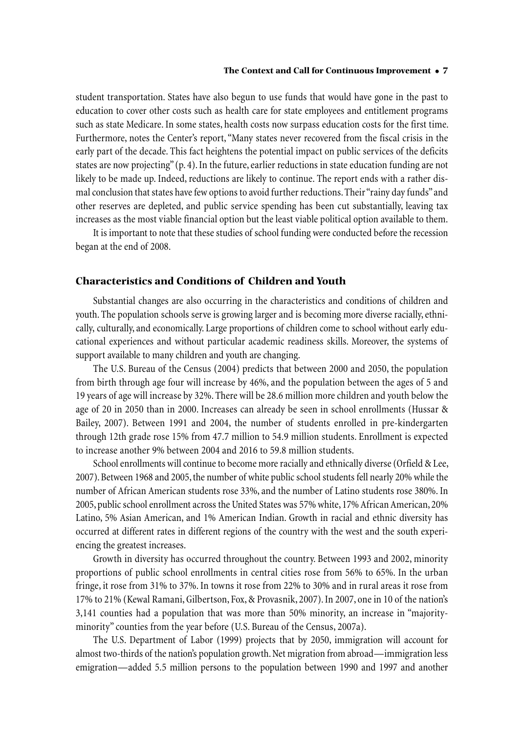student transportation. States have also begun to use funds that would have gone in the past to education to cover other costs such as health care for state employees and entitlement programs such as state Medicare. In some states, health costs now surpass education costs for the first time. Furthermore, notes the Center's report,"Many states never recovered from the fiscal crisis in the early part of the decade. This fact heightens the potential impact on public services of the deficits states are now projecting" (p. 4). In the future, earlier reductions in state education funding are not likely to be made up. Indeed, reductions are likely to continue. The report ends with a rather dismal conclusion that states have few options to avoid further reductions. Their "rainy day funds" and other reserves are depleted, and public service spending has been cut substantially, leaving tax increases as the most viable financial option but the least viable political option available to them.

It is important to note that these studies of school funding were conducted before the recession began at the end of 2008.

# **Characteristics and Conditions of Children and Youth**

Substantial changes are also occurring in the characteristics and conditions of children and youth. The population schools serve is growing larger and is becoming more diverse racially,ethnically, culturally, and economically. Large proportions of children come to school without early educational experiences and without particular academic readiness skills. Moreover, the systems of support available to many children and youth are changing.

The U.S. Bureau of the Census (2004) predicts that between 2000 and 2050, the population from birth through age four will increase by 46%, and the population between the ages of 5 and 19 years of age will increase by 32%.There will be 28.6 million morechildren and youth below the age of 20 in 2050 than in 2000. Increases can already be seen in school enrollments (Hussar & Bailey, 2007). Between 1991 and 2004, the number of students enrolled in pre-kindergarten through 12th grade rose 15% from 47.7 million to 54.9 million students. Enrollment is expected to increase another 9% between 2004 and 2016 to 59.8 million students.

School enrollments will continue to become more racially and ethnically diverse (Orfield & Lee, 2007). Between 1968 and 2005, the number of white public school students fell nearly 20% while the number of African American students rose 33%, and the number of Latino students rose 380%. In 2005, public school enrollment across the United States was 57% white, 17% African American, 20% Latino, 5% Asian American, and 1% American Indian. Growth in racial and ethnic diversity has occurred at different rates in different regions of the country with the west and the south experiencing the greatest increases.

Growth in diversity has occurred throughout the country. Between 1993 and 2002, minority proportions of public school enrollments in central cities rose from 56% to 65%. In the urban fringe, it rose from 31% to 37%. In towns it rose from 22% to 30% and in rural areas it rose from 17% to 21% (Kewal Ramani,Gilbertson, Fox,& Provasnik, 2007).In 2007, onein 10 of the nation's 3,141 counties had a population that was more than 50% minority, an increase in "majorityminority" counties from the year before (U.S. Bureau of the Census, 2007a).

The U.S. Department of Labor (1999) projects that by 2050, immigration will account for almost two-thirds of the nation's population growth.Net migration from abroad—immigration less emigration—added 5.5 million persons to the population between 1990 and 1997 and another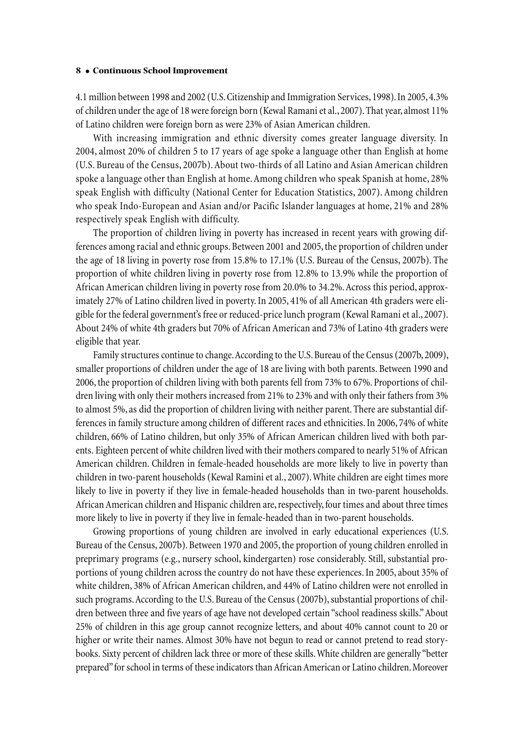4.1 million between 1998 and 2002 (U.S.Citizenship and Immigration Services,1998).In 2005,4.3% of children under the age of 18 were foreign born (Kewal Ramani et al., 2007). That year, almost 11% of Latino children were foreign born as were 23% of Asian American children.

With increasing immigration and ethnic diversity comes greater language diversity. In 2004, almost 20% of children 5 to 17 years of age spoke a language other than English at home (U.S. Bureau of the Census, 2007b).About two-thirds of all Latino and Asian American children spoke a language other than English at home.Among children who speak Spanish at home, 28% speak English with difficulty (National Center for Education Statistics, 2007). Among children who speak Indo-European and Asian and/or Pacific Islander languages at home, 21% and 28% respectively speak English with difficulty.

The proportion of children living in poverty has increased in recent years with growing differences among racial and ethnic groups. Between 2001 and 2005, the proportion of children under the age of 18 living in poverty rose from 15.8% to 17.1% (U.S. Bureau of the Census, 2007b). The proportion of white children living in poverty rose from 12.8% to 13.9% while the proportion of African American children living in poverty rose from 20.0% to 34.2%.Across this period, approximately 27% of Latino children lived in poverty.In 2005, 41% of all American 4th graders were eligible for the federal government's free or reduced-price lunch program (Kewal Ramani et al., 2007). About 24% of white 4th graders but 70% of African American and 73% of Latino 4th graders were eligible that year.

Family structures continue to change. According to the U.S. Bureau of the Census (2007b, 2009), smaller proportions of children under the age of 18 are living with both parents. Between 1990 and 2006, the proportion of children living with both parents fell from 73% to 67%. Proportions of children living with only their mothers increased from 21% to 23% and with only their fathers from 3% to almost 5%, as did the proportion of children living with neither parent.There aresubstantial differences in family structure among children of different races and ethnicities.In 2006, 74% of white children, 66% of Latino children, but only 35% of African American children lived with both parents. Eighteen percent of white children lived with their mothers compared to nearly 51% of African American children. Children in female-headed households are more likely to live in poverty than children in two-parent households (Kewal Ramini et al., 2007). White children are eight times more likely to live in poverty if they live in female-headed households than in two-parent households. African American children and Hispanic children are, respectively, four times and about three times more likely to live in poverty if they live in female-headed than in two-parent households.

Growing proportions of young children are involved in early educational experiences (U.S. Bureau of the Census, 2007b). Between 1970 and 2005, the proportion of young children enrolled in preprimary programs (e.g., nursery school, kindergarten) rose considerably. Still, substantial proportions of young children across the country do not have these experiences.In 2005, about 35% of white children, 38% of African American children, and 44% of Latino children were not enrolled in such programs. According to the U.S. Bureau of the Census (2007b), substantial proportions of children between three and five years of age have not developed certain "school readiness skills."About 25% of children in this age group cannot recognize letters, and about 40% cannot count to 20 or higher or write their names. Almost 30% have not begun to read or cannot pretend to read storybooks. Sixty percent of children lack three or more of these skills. White children are generally "better prepared" for school in terms of these indicators than African American or Latino children. Moreover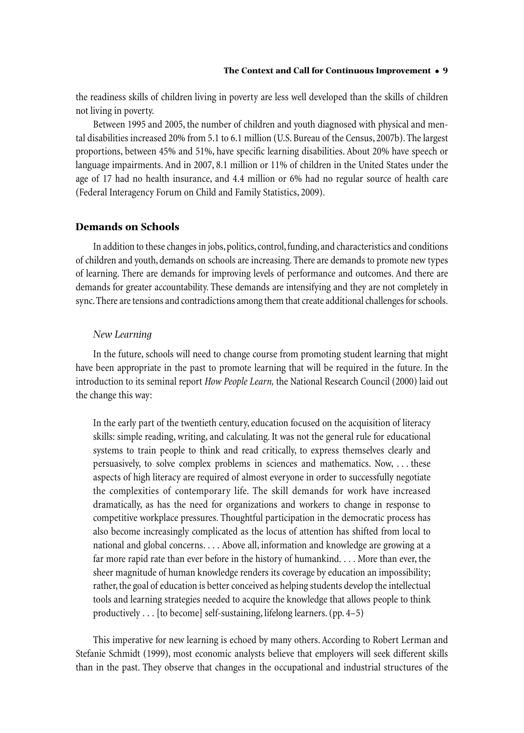the readiness skills of children living in poverty are less well developed than the skills of children not living in poverty.

Between 1995 and 2005, the number of children and youth diagnosed with physical and mental disabilities increased 20% from 5.1 to 6.1 million (U.S. Bureau of the Census, 2007b). The largest proportions, between 45% and 51%, have specific learning disabilities. About 20% have speech or language impairments. And in 2007, 8.1 million or 11% of children in the United States under the age of 17 had no health insurance, and 4.4 million or 6% had no regular source of health care (Federal Interagency Forum on Child and Family Statistics, 2009).

# **Demands on Schools**

In addition to these changes in jobs, politics, control, funding, and characteristics and conditions of children and youth, demands on schools areincreasing.There are demands to promote new types of learning. There are demands for improving levels of performance and outcomes. And there are demands for greater accountability. These demands are intensifying and they are not completely in sync. There are tensions and contradictions among them that create additional challenges for schools.

#### *New Learning*

In the future, schools will need to change course from promoting student learning that might have been appropriate in the past to promote learning that will be required in the future. In the introduction to its seminal report *How People Learn,* the National Research Council (2000) laid out the change this way:

In the early part of the twentieth century, education focused on the acquisition of literacy skills: simple reading, writing, and calculating. It was not the general rule for educational systems to train people to think and read critically, to express themselves clearly and persuasively, to solve complex problems in sciences and mathematics. Now, . . . these aspects of high literacy are required of almost everyone in order to successfully negotiate the complexities of contemporary life. The skill demands for work have increased dramatically, as has the need for organizations and workers to change in response to competitive workplace pressures. Thoughtful participation in the democratic process has also become increasingly complicated as the locus of attention has shifted from local to national and global concerns. ... Above all, information and knowledge are growing at a far more rapid rate than ever before in the history of humankind. ... More than ever, the sheer magnitude of human knowledge renders its coverage by education an impossibility; rather, the goal of education is better conceived as helping students develop the intellectual tools and learning strategies needed to acquire the knowledge that allows people to think productively ... [to become] self-sustaining, lifelong learners.(pp. 4–5)

This imperative for new learning is echoed by many others. According to Robert Lerman and Stefanie Schmidt (1999), most economic analysts believe that employers will seek different skills than in the past. They observe that changes in the occupational and industrial structures of the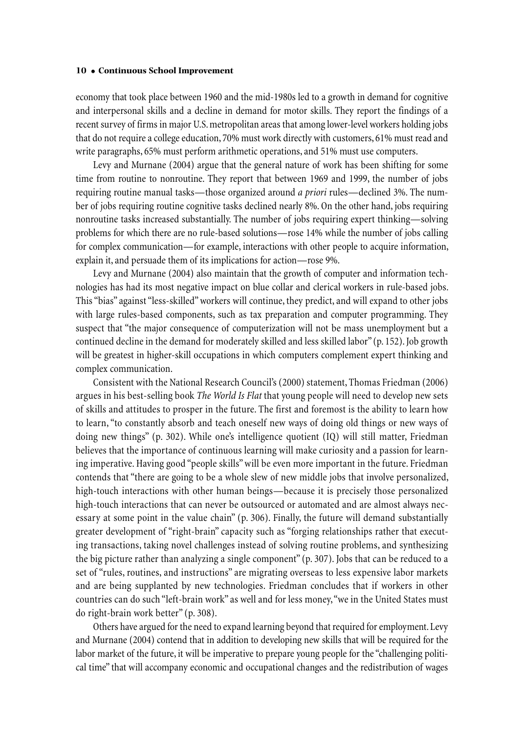economy that took place between 1960 and the mid-1980s led to a growth in demand for cognitive and interpersonal skills and a decline in demand for motor skills. They report the findings of a recent survey of firms in major U.S. metropolitan areas that among lower-level workers holding jobs that do not require a college education, 70% must work directly with customers, 61% must read and write paragraphs, 65% must perform arithmetic operations, and 51% must use computers.

Levy and Murnane (2004) argue that the general nature of work has been shifting for some time from routine to nonroutine. They report that between 1969 and 1999, the number of jobs requiring routine manual tasks—those organized around *a priori* rules—declined 3%. The number of jobs requiring routine cognitive tasks declined nearly 8%. On the other hand, jobs requiring nonroutine tasks increased substantially. The number of jobs requiring expert thinking—solving problems for which there are no rule-based solutions—rose 14% while the number of jobs calling for complex communication—for example, interactions with other people to acquire information, explain it, and persuade them of its implications for action—rose 9%.

Levy and Murnane (2004) also maintain that the growth of computer and information technologies has had its most negative impact on blue collar and clerical workers in rule-based jobs. This"bias" against"less-skilled"workers will continue, they predict, and will expand to other jobs with large rules-based components, such as tax preparation and computer programming. They suspect that "the major consequence of computerization will not be mass unemployment but a continued decline in the demand for moderately skilled and less skilled labor" (p. 152). Job growth will be greatest in higher-skill occupations in which computers complement expert thinking and complex communication.

Consistent with the National Research Council's (2000) statement, Thomas Friedman (2006) argues in his best-selling book *The World Is Flat* that young people will need to develop new sets of skills and attitudes to prosper in the future. The first and foremost is the ability to learn how to learn,"to constantly absorb and teach oneself new ways of doing old things or new ways of doing new things" (p. 302). While one's intelligence quotient (IQ) will still matter, Friedman believes that the importance of continuous learning will make curiosity and a passion for learning imperative. Having good "people skills"will be even more important in the future. Friedman contends that"there are going to be a whole slew of new middle jobs that involve personalized, high-touch interactions with other human beings—because it is precisely those personalized high-touch interactions that can never be outsourced or automated and are almost always necessary at some point in the value chain" (p. 306). Finally, the future will demand substantially greater development of "right-brain" capacity such as "forging relationships rather that executing transactions, taking novel challenges instead of solving routine problems, and synthesizing the big picture rather than analyzing a single component"(p. 307). Jobs that can be reduced to a set of "rules, routines, and instructions" are migrating overseas to less expensive labor markets and are being supplanted by new technologies. Friedman concludes that if workers in other countries can do such "left-brain work" as well and for less money,"we in the United States must do right-brain work better"(p. 308).

Others have argued for the need to expand learning beyond that required foremployment.Levy and Murnane (2004) contend that in addition to developing new skills that will be required for the labor market of the future, it will be imperative to prepare young people for the"challenging political time" that will accompany economic and occupational changes and the redistribution of wages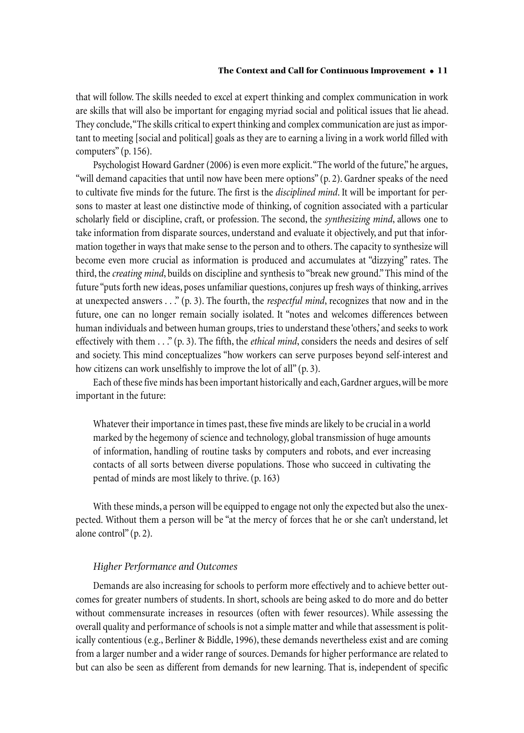that will follow. The skills needed to excel at expert thinking and complex communication in work are skills that will also be important for engaging myriad social and political issues that lie ahead. They conclude, "The skills critical to expert thinking and complex communication are just as important to meeting [social and political] goals as they areto earning a living in a work world filled with computers"(p. 156).

Psychologist Howard Gardner (2006) is even more explicit. "The world of the future," he argues, "will demand capacities that until now have been mere options"(p. 2). Gardner speaks of the need to cultivate five minds for the future. The first is the *disciplined mind*. It will be important for persons to master at least one distinctive mode of thinking, of cognition associated with a particular scholarly field or discipline, craft, or profession. The second, the *synthesizing mind*, allows one to take information from disparate sources, understand and evaluate it objectively, and put that information together in ways that make sense to the person and to others. The capacity to synthesize will become even more crucial as information is produced and accumulates at "dizzying" rates. The third, the *creating mind*, builds on discipline and synthesis to "break new ground."This mind of the future "puts forth new ideas, poses unfamiliar questions, conjures up fresh ways of thinking, arrives at unexpected answers . . ."(p. 3). The fourth, the *respectful mind*, recognizes that now and in the future, one can no longer remain socially isolated. It "notes and welcomes differences between human individuals and between human groups, tries to understand these 'others,' and seeks to work effectively with them . . ." (p. 3). The fifth, the *ethical mind*, considers the needs and desires of self and society. This mind conceptualizes"how workers can serve purposes beyond self-interest and how citizens can work unselfishly to improve the lot of all"(p. 3).

Each of these five minds has been important historically and each, Gardner argues, will be more important in the future:

Whatever their importance in times past, these five minds are likely to be crucial in a world marked by the hegemony of science and technology, global transmission of huge amounts of information, handling of routine tasks by computers and robots, and ever increasing contacts of all sorts between diverse populations. Those who succeed in cultivating the pentad of minds are most likely to thrive.(p. 163)

With these minds, a person will be equipped to engage not only the expected but also the unexpected. Without them a person will be"at the mercy of forces that he or she can't understand, let alone control"(p. 2).

# *Higher Performance and Outcomes*

Demands are also increasing for schools to perform more effectively and to achieve better outcomes for greater numbers of students. In short, schools are being asked to do more and do better without commensurate increases in resources (often with fewer resources). While assessing the overall quality and performance of schools is not a simple matter and while that assessment is politically contentious (e.g., Berliner & Biddle, 1996), these demands nevertheless exist and are coming from a larger number and a wider range of sources. Demands for higher performance are related to but can also be seen as different from demands for new learning. That is, independent of specific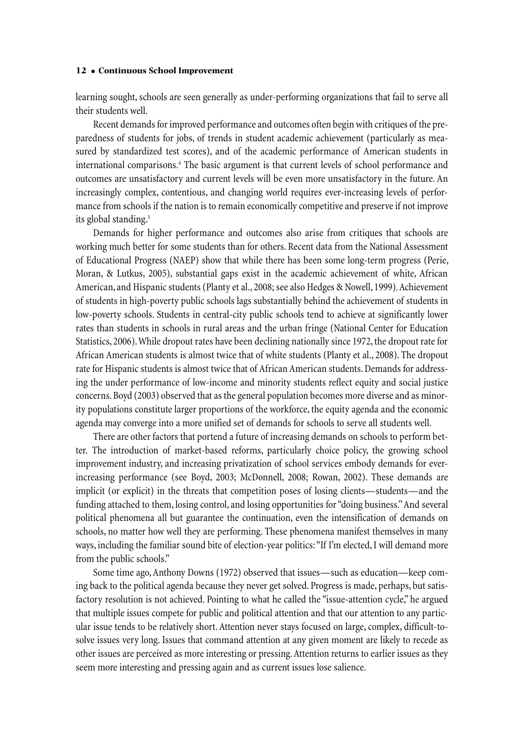learning sought, schools are seen generally as under-performing organizations that fail to serve all their students well.

Recent demands for improved performance and outcomes often begin with critiques of the preparedness of students for jobs, of trends in student academic achievement (particularly as measured by standardized test scores), and of the academic performance of American students in international comparisons. <sup>4</sup> The basic argument is that current levels of school performance and outcomes are unsatisfactory and current levels will be even more unsatisfactory in the future. An increasingly complex, contentious, and changing world requires ever-increasing levels of performance from schools if the nation is to remain economically competitive and preserve if not improve its global standing. 5

Demands for higher performance and outcomes also arise from critiques that schools are working much better for some students than for others. Recent data from the National Assessment of Educational Progress (NAEP) show that while there has been some long-term progress (Perie, Moran, & Lutkus, 2005), substantial gaps exist in the academic achievement of white, African American, and Hispanic students (Planty et al., 2008; see also Hedges & Nowell, 1999). Achievement of students in high-poverty public schools lags substantially behind the achievement of students in low-poverty schools. Students in central-city public schools tend to achieve at significantly lower rates than students in schools in rural areas and the urban fringe (National Center for Education Statistics, 2006). While dropout rates have been declining nationally since 1972, the dropout rate for African American students is almost twice that of white students (Planty et al., 2008). The dropout rate for Hispanic students is almost twice that of African American students. Demands for addressing the under performance of low-income and minority students reflect equity and social justice concerns.Boyd (2003) observed that asthe general population becomes more diverse and as minority populations constitute larger proportions of the workforce, the equity agenda and the economic agenda may converge into a more unified set of demands for schools to serve all students well.

There are other factors that portend a future of increasing demands on schools to perform better. The introduction of market-based reforms, particularly choice policy, the growing school improvement industry, and increasing privatization of school services embody demands for everincreasing performance (see Boyd, 2003; McDonnell, 2008; Rowan, 2002). These demands are implicit (or explicit) in the threats that competition poses of losing clients—students—and the funding attached to them, losing control, and losing opportunities for"doing business."And several political phenomena all but guarantee the continuation, even the intensification of demands on schools, no matter how well they are performing. These phenomena manifest themselves in many ways, including the familiar sound bite of election-year politics: "If I'm elected, I will demand more from the public schools."

Some time ago,Anthony Downs (1972) observed that issues—such as education—keep coming back to the political agenda because they never get solved. Progress is made, perhaps, but satisfactory resolution is not achieved. Pointing to what he called the"issue-attention cycle," he argued that multiple issues compete for public and political attention and that our attention to any particular issue tends to be relatively short. Attention never stays focused on large, complex, difficult-tosolve issues very long. Issues that command attention at any given moment are likely to recede as other issues are perceived as more interesting or pressing.Attention returns to earlier issues as they seem more interesting and pressing again and as current issues lose salience.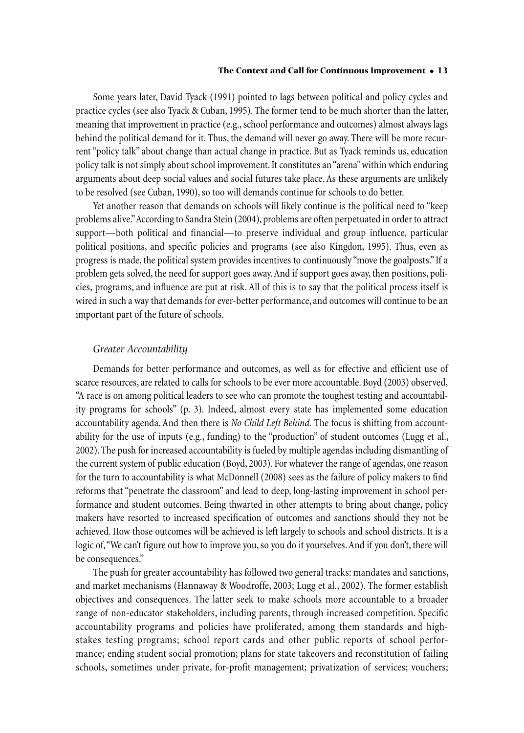Some years later, David Tyack (1991) pointed to lags between political and policy cycles and practice cycles (see also Tyack & Cuban, 1995). The former tend to be much shorter than the latter, meaning that improvement in practice (e.g., school performance and outcomes) almost always lags behind the political demand for it. Thus, the demand will never go away. There will be more recurrent "policy talk" about change than actual change in practice. But as Tyack reminds us, education policy talk is not simply about school improvement. It constitutes an "arena" within which enduring arguments about deep social values and social futures take place. As these arguments are unlikely to be resolved (see Cuban, 1990), so too will demands continue for schools to do better.

Yet another reason that demands on schools will likely continue is the political need to "keep problems alive." According to Sandra Stein (2004), problems are often perpetuated in order to attract support—both political and financial—to preserve individual and group influence, particular political positions, and specific policies and programs (see also Kingdon, 1995). Thus, even as progress is made, the political system provides incentives to continuously "move the goalposts."If a problem gets solved, the need for support goes away.And if support goes away, then positions, policies, programs, and influence are put at risk. All of this is to say that the political process itself is wired in such a way that demands for ever-better performance, and outcomes will continue to be an important part of the future of schools.

# *Greater Accountability*

Demands for better performance and outcomes, as well as for effective and efficient use of scarce resources, are related to calls for schools to be ever more accountable. Boyd (2003) observed, "A race is on among political leaders to see who can promote the toughest testing and accountability programs for schools" (p. 3). Indeed, almost every state has implemented some education accountability agenda.And then there is *No Child Left Behind.* The focus is shifting from accountability for the use of inputs (e.g., funding) to the "production" of student outcomes (Lugg et al., 2002).The push for increased accountability is fueled by multiple agendas including dismantling of the current system of public education (Boyd, 2003). For whatever the range of agendas, one reason for the turn to accountability is what McDonnell (2008) sees as the failure of policy makers to find reforms that"penetrate the classroom" and lead to deep, long-lasting improvement in school performance and student outcomes. Being thwarted in other attempts to bring about change, policy makers have resorted to increased specification of outcomes and sanctions should they not be achieved. How those outcomes will be achieved is left largely to schools and school districts. It is a logic of, "We can't figure out how to improve you, so you do it yourselves. And if you don't, there will be consequences."

The push for greater accountability has followed two general tracks: mandates and sanctions, and market mechanisms (Hannaway & Woodroffe, 2003; Lugg et al., 2002). The former establish objectives and consequences. The latter seek to make schools more accountable to a broader range of non-educator stakeholders, including parents, through increased competition. Specific accountability programs and policies have proliferated, among them standards and highstakes testing programs; school report cards and other public reports of school performance; ending student social promotion; plans for state takeovers and reconstitution of failing schools, sometimes under private, for-profit management; privatization of services; vouchers;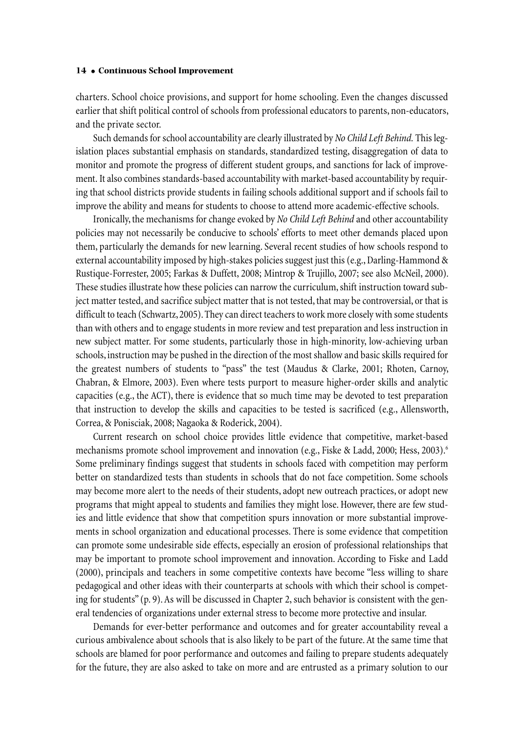charters. School choice provisions, and support for home schooling. Even the changes discussed earlier that shift political control of schools from professional educators to parents, non-educators, and the private sector.

Such demands for school accountability are clearly illustrated by *No Child Left Behind*. This legislation places substantial emphasis on standards, standardized testing, disaggregation of data to monitor and promote the progress of different student groups, and sanctions for lack of improvement. It also combines standards-based accountability with market-based accountability by requiring that school districts provide students in failing schools additional support and if schools fail to improve the ability and means for students to choose to attend more academic-effective schools.

Ironically, the mechanisms for change evoked by *No Child Left Behind* and other accountability policies may not necessarily be conducive to schools' efforts to meet other demands placed upon them, particularly the demands for new learning. Several recent studies of how schools respond to external accountability imposed by high-stakes policies suggest just this (e.g., Darling-Hammond  $\&$ Rustique-Forrester, 2005; Farkas & Duffett, 2008; Mintrop & Trujillo, 2007; see also McNeil, 2000). These studies illustrate how these policies can narrow the curriculum, shift instruction toward subject matter tested, and sacrifice subject matter that is not tested, that may be controversial, or that is difficult to teach (Schwartz, 2005). They can direct teachers to work more closely with some students than with others and to engage students in more review and test preparation and less instruction in new subject matter. For some students, particularly those in high-minority, low-achieving urban schools, instruction may be pushed in the direction of the most shallow and basic skills required for the greatest numbers of students to "pass" the test (Maudus & Clarke, 2001; Rhoten, Carnoy, Chabran, & Elmore, 2003). Even where tests purport to measure higher-order skills and analytic capacities (e.g., the ACT), there is evidence that so much time may be devoted to test preparation that instruction to develop the skills and capacities to be tested is sacrificed (e.g., Allensworth, Correa,& Ponisciak, 2008; Nagaoka & Roderick, 2004).

Current research on school choice provides little evidence that competitive, market-based mechanisms promote school improvement and innovation (e.g., Fiske & Ladd, 2000; Hess, 2003). 6 Some preliminary findings suggest that students in schools faced with competition may perform better on standardized tests than students in schools that do not face competition. Some schools may become more alert to the needs of their students, adopt new outreach practices, or adopt new programs that might appeal to students and families they might lose. However, there are few studies and little evidence that show that competition spurs innovation or more substantial improvements in school organization and educational processes. There is some evidence that competition can promote some undesirable side effects, especially an erosion of professional relationships that may be important to promote school improvement and innovation. According to Fiske and Ladd (2000), principals and teachers in some competitive contexts have become "less willing to share pedagogical and other ideas with their counterparts at schools with which their school is competing for students"  $(p, 9)$ . As will be discussed in Chapter 2, such behavior is consistent with the general tendencies of organizations under external stress to become more protective and insular.

Demands for ever-better performance and outcomes and for greater accountability reveal a curious ambivalence about schools that is also likely to be part of the future.At the same time that schools are blamed for poor performance and outcomes and failing to prepare students adequately for the future, they are also asked to take on more and are entrusted as a primary solution to our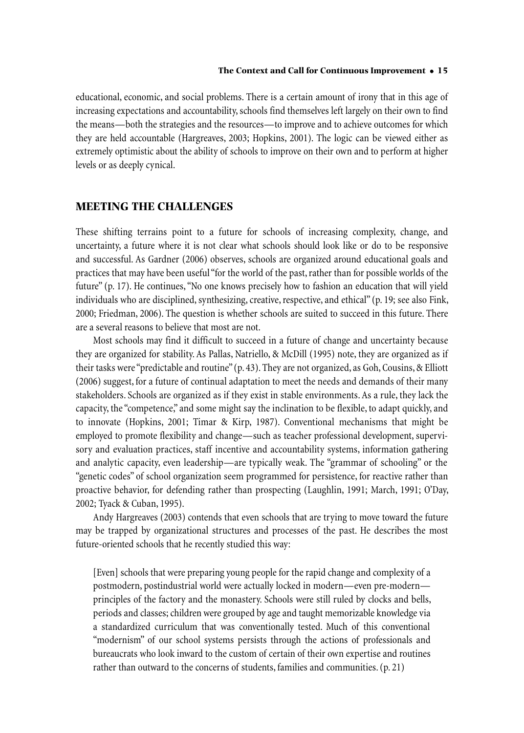educational,economic, and social problems. There is a certain amount of irony that in this age of increasing expectations and accountability, schools find themselves left largely on their own to find the means—both the strategies and the resources—to improve and to achieve outcomes for which they are held accountable (Hargreaves, 2003; Hopkins, 2001). The logic can be viewed either as extremely optimistic about the ability of schools to improve on their own and to perform at higher levels or as deeply cynical.

# **MEETING THE CHALLENGES**

These shifting terrains point to a future for schools of increasing complexity, change, and uncertainty, a future where it is not clear what schools should look like or do to be responsive and successful. As Gardner (2006) observes, schools are organized around educational goals and practices that may have been useful "for the world of the past, rather than for possible worlds of the future"(p. 17). He continues,"No one knows precisely how to fashion an education that will yield individuals who are disciplined, synthesizing, creative, respective, and ethical" (p. 19; see also Fink, 2000; Friedman, 2006). The question is whether schools are suited to succeed in this future. There are a several reasons to believe that most are not.

Most schools may find it difficult to succeed in a future of change and uncertainty because they are organized for stability. As Pallas, Natriello, & McDill (1995) note, they are organized as if their tasks were"predictable and routine"(p. 43).They are not organized, as Goh,Cousins,& Elliott (2006) suggest, for a future of continual adaptation to meet the needs and demands of their many stakeholders. Schools are organized as if they exist in stable environments.As a rule, they lack the capacity, the"competence," and some might say the inclination to be flexible, to adapt quickly, and to innovate (Hopkins, 2001; Timar & Kirp, 1987). Conventional mechanisms that might be employed to promote flexibility and change—such as teacher professional development, supervisory and evaluation practices, staff incentive and accountability systems, information gathering and analytic capacity, even leadership—are typically weak. The "grammar of schooling" or the "genetic codes" of school organization seem programmed for persistence, for reactive rather than proactive behavior, for defending rather than prospecting (Laughlin, 1991; March, 1991; O'Day, 2002; Tyack & Cuban, 1995).

Andy Hargreaves (2003) contends that even schools that are trying to move toward the future may be trapped by organizational structures and processes of the past. He describes the most future-oriented schools that he recently studied this way:

[Even] schools that were preparing young people for the rapid change and complexity of a postmodern, postindustrial world were actually locked in modern—even pre-modern principles of the factory and the monastery. Schools were still ruled by clocks and bells, periods and classes;children were grouped by age and taught memorizable knowledge via a standardized curriculum that was conventionally tested. Much of this conventional "modernism" of our school systems persists through the actions of professionals and bureaucrats who look inward to the custom of certain of their own expertise and routines rather than outward to the concerns of students, families and communities.(p. 21)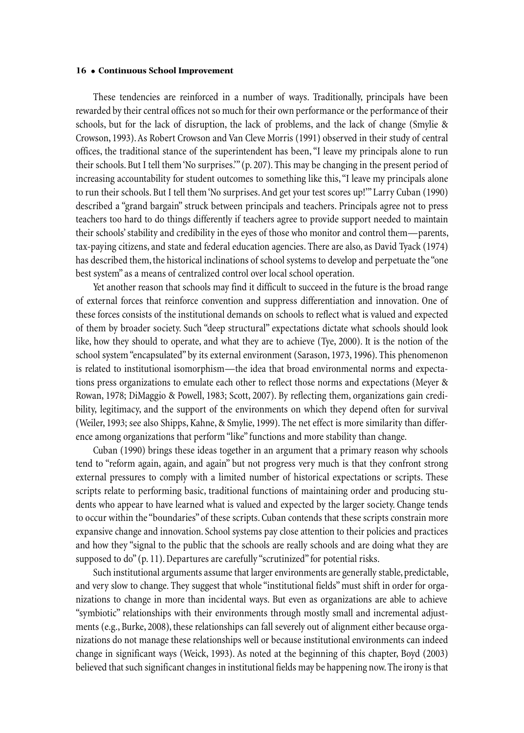These tendencies are reinforced in a number of ways. Traditionally, principals have been rewarded by their central offices not so much for their own performance or the performance of their schools, but for the lack of disruption, the lack of problems, and the lack of change (Smylie & Crowson, 1993).As Robert Crowson and Van Cleve Morris (1991) observed in their study of central offices, the traditional stance of the superintendent has been,"I leave my principals alone to run their schools. But I tell them'No surprises.'"(p. 207). This may be changing in the present period of increasing accountability for student outcomes to something like this,"I leave my principals alone to run their schools. But I tell them'No surprises.And get your test scores up!'"Larry Cuban (1990) described a "grand bargain" struck between principals and teachers. Principals agree not to press teachers too hard to do things differently if teachers agree to provide support needed to maintain their schools'stability and credibility in the eyes of those who monitor and control them—parents, tax-paying citizens, and state and federal education agencies. There are also, as David Tyack (1974) has described them, the historical inclinations of school systems to develop and perpetuate the "one best system" as a means of centralized control over local school operation.

Yet another reason that schools may find it difficult to succeed in the future is the broad range of external forces that reinforce convention and suppress differentiation and innovation. One of these forces consists of the institutional demands on schools to reflect what is valued and expected of them by broader society. Such "deep structural"expectations dictate what schools should look like, how they should to operate, and what they are to achieve (Tye, 2000). It is the notion of the school system"encapsulated" by its external environment (Sarason, 1973, 1996). This phenomenon is related to institutional isomorphism—the idea that broad environmental norms and expectations press organizations to emulate each other to reflect those norms and expectations (Meyer & Rowan, 1978; DiMaggio & Powell, 1983; Scott, 2007). By reflecting them, organizations gain credibility, legitimacy, and the support of the environments on which they depend often for survival (Weiler, 1993; see also Shipps, Kahne,& Smylie, 1999). The net effect is more similarity than difference among organizations that perform"like"functions and more stability than change.

Cuban (1990) brings these ideas together in an argument that a primary reason why schools tend to "reform again, again, and again" but not progress very much is that they confront strong external pressures to comply with a limited number of historical expectations or scripts. These scripts relate to performing basic, traditional functions of maintaining order and producing students who appear to have learned what is valued and expected by the larger society. Change tends to occur within the"boundaries" of these scripts. Cuban contends that these scripts constrain more expansive change and innovation. School systems pay close attention to their policies and practices and how they "signal to the public that the schools are really schools and are doing what they are supposed to do" (p. 11). Departures are carefully "scrutinized" for potential risks.

Such institutional arguments assume that larger environments are generally stable, predictable, and very slow to change. They suggest that whole "institutional fields" must shift in order for organizations to change in more than incidental ways. But even as organizations are able to achieve "symbiotic" relationships with their environments through mostly small and incremental adjustments (e.g., Burke, 2008), these relationships can fall severely out of alignment either because organizations do not manage these relationships well or because institutional environments can indeed change in significant ways (Weick, 1993). As noted at the beginning of this chapter, Boyd (2003) believed that such significant changes in institutional fields may be happening now. The irony is that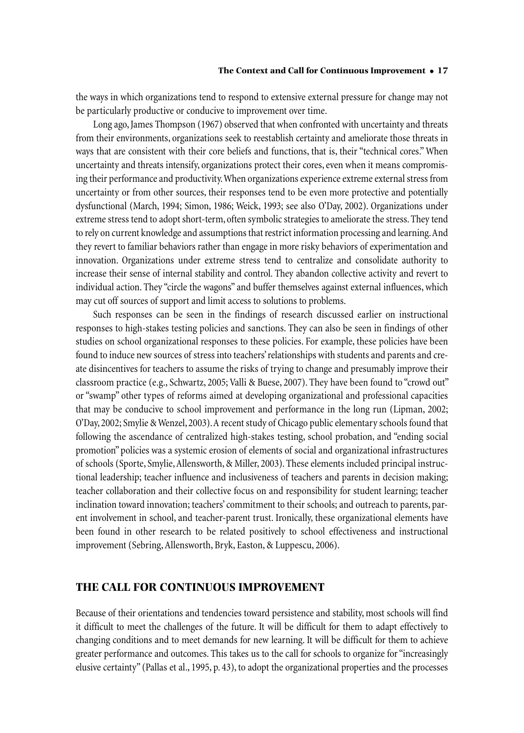the ways in which organizations tend to respond to extensive external pressure for change may not be particularly productive or conducive to improvement over time.

Long ago,James Thompson (1967) observed that when confronted with uncertainty and threats from their environments, organizations seek to reestablish certainty and ameliorate those threats in ways that are consistent with their core beliefs and functions, that is, their"technical cores." When uncertainty and threats intensify, organizations protect their cores,even when it means compromising their performance and productivity. When organizations experience extreme external stress from uncertainty or from other sources, their responses tend to be even more protective and potentially dysfunctional (March, 1994; Simon, 1986; Weick, 1993; see also O'Day, 2002). Organizations under extreme stress tend to adopt short-term, often symbolic strategies to ameliorate the stress. They tend to rely on current knowledge and assumptions that restrict information processing and learning. And they revert to familiar behaviors rather than engage in more risky behaviors of experimentation and innovation. Organizations under extreme stress tend to centralize and consolidate authority to increase their sense of internal stability and control. They abandon collective activity and revert to individual action. They "circle the wagons" and buffer themselves against external influences, which may cut off sources of support and limit access to solutions to problems.

Such responses can be seen in the findings of research discussed earlier on instructional responses to high-stakes testing policies and sanctions. They can also be seen in findings of other studies on school organizational responses to these policies. For example, these policies have been found to induce new sources of stress into teachers' relationships with students and parents and create disincentives for teachers to assume the risks of trying to change and presumably improve their classroom practice (e.g., Schwartz, 2005; Valli & Buese, 2007). They have been found to "crowd out" or"swamp" other types of reforms aimed at developing organizational and professional capacities that may be conducive to school improvement and performance in the long run (Lipman, 2002; O'Day, 2002; Smylie & Wenzel, 2003). A recent study of Chicago public elementary schools found that following the ascendance of centralized high-stakes testing, school probation, and "ending social promotion" policies was a systemic erosion of elements of social and organizational infrastructures of schools (Sporte, Smylie,Allensworth,& Miller, 2003). These elements included principal instructional leadership; teacher influence and inclusiveness of teachers and parents in decision making; teacher collaboration and their collective focus on and responsibility for student learning; teacher inclination toward innovation; teachers'commitment to their schools; and outreach to parents, parent involvement in school, and teacher-parent trust. Ironically, these organizational elements have been found in other research to be related positively to school effectiveness and instructional improvement (Sebring, Allensworth, Bryk, Easton, & Luppescu, 2006).

# **THE CALL FOR CONTINUOUS IMPROVEMENT**

Because of their orientations and tendencies toward persistence and stability, most schools will find it difficult to meet the challenges of the future. It will be difficult for them to adapt effectively to changing conditions and to meet demands for new learning. It will be difficult for them to achieve greater performance and outcomes. This takes us to the call for schools to organize for"increasingly elusive certainty"(Pallas et al., 1995, p. 43), to adopt the organizational properties and the processes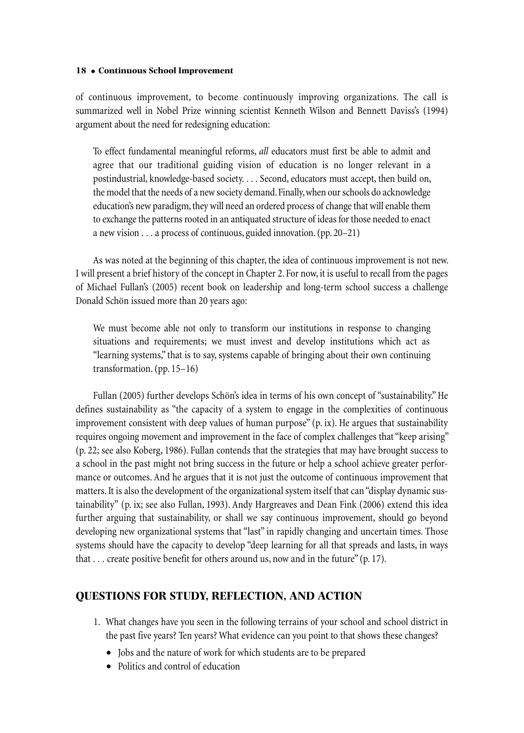of continuous improvement, to become continuously improving organizations. The call is summarized well in Nobel Prize winning scientist Kenneth Wilson and Bennett Daviss's (1994) argument about the need for redesigning education:

To effect fundamental meaningful reforms, *all* educators must first be able to admit and agree that our traditional guiding vision of education is no longer relevant in a postindustrial, knowledge-based society. . . . Second, educators must accept, then build on, the model that the needs of a new society demand. Finally, when our schools do acknowledge education's new paradigm, they will need an ordered process of change that will enable them to exchange the patterns rooted in an antiquated structure of ideas for those needed to enact a new vision ... a process of continuous, guided innovation.(pp. 20–21)

As was noted at the beginning of this chapter, the idea of continuous improvement is not new. I will present a brief history of the concept in Chapter 2. For now, it is useful to recall from the pages of Michael Fullan's (2005) recent book on leadership and long-term school success a challenge Donald Schön issued more than 20 years ago:

We must become able not only to transform our institutions in response to changing situations and requirements; we must invest and develop institutions which act as "learning systems," that is to say, systems capable of bringing about their own continuing transformation.(pp. 15–16)

Fullan (2005) further develops Schön's idea in terms of his own concept of "sustainability." He defines sustainability as "the capacity of a system to engage in the complexities of continuous improvement consistent with deep values of human purpose"  $(p, ix)$ . He argues that sustainability requires ongoing movement and improvement in the face of complex challenges that"keep arising" (p. 22; see also Koberg, 1986). Fullan contends that the strategies that may have brought success to a school in the past might not bring success in the future or help a school achieve greater performance or outcomes.And he argues that it is not just the outcome of continuous improvement that matters. It is also the development of the organizational system itself that can "display dynamic sustainability" (p. ix; see also Fullan, 1993). Andy Hargreaves and Dean Fink (2006) extend this idea further arguing that sustainability, or shall we say continuous improvement, should go beyond developing new organizational systems that "last" in rapidly changing and uncertain times. Those systems should have the capacity to develop "deep learning for all that spreads and lasts, in ways that ... create positive benefit for others around us, now and in the future"(p. 17).

# **QUESTIONS FOR STUDY, REFLECTION, AND ACTION**

- 1. What changes have you seen in the following terrains of your school and school district in the past five years? Ten years? What evidence can you point to that shows these changes?
	- Jobs and the nature of work for which students are to be prepared
	- Politics and control of education